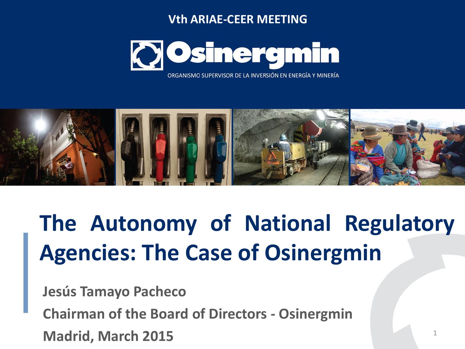#### **Vth ARIAE-CEER MEETING**



ORGANISMO SUPERVISOR DE LA INVERSIÓN EN ENERGÍA Y MINERÍA



# **The Autonomy of National Regulatory Agencies: The Case of Osinergmin**

**Jesús Tamayo Pacheco**

**Chairman of the Board of Directors - Osinergmin**

**Madrid, March 2015**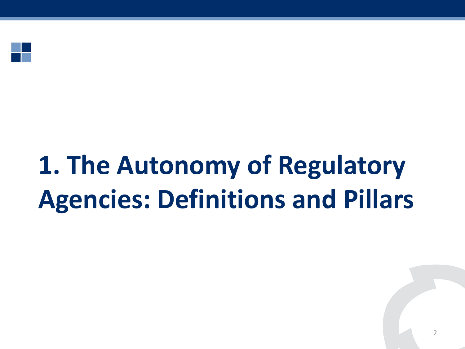

# **1. The Autonomy of Regulatory Agencies: Definitions and Pillars**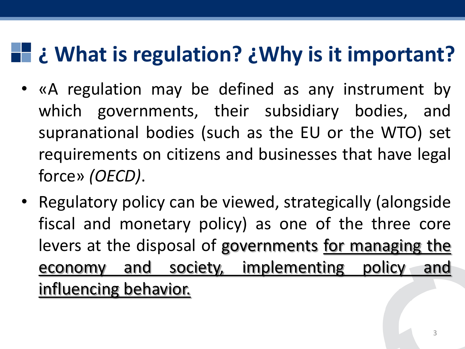# **¿ What is regulation? ¿Why is it important?**

- «A regulation may be defined as any instrument by which governments, their subsidiary bodies, and supranational bodies (such as the EU or the WTO) set requirements on citizens and businesses that have legal force» *(OECD)*.
- Regulatory policy can be viewed, strategically (alongside fiscal and monetary policy) as one of the three core levers at the disposal of governments for managing the economy and society, implementing policy and influencing behavior.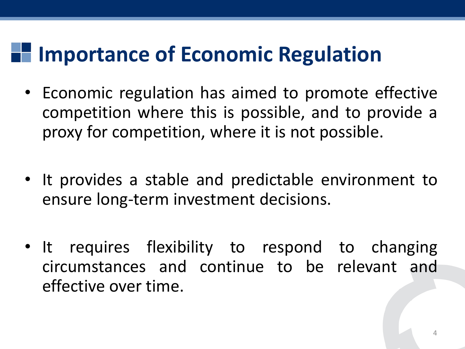## **Importance of Economic Regulation**

- Economic regulation has aimed to promote effective competition where this is possible, and to provide a proxy for competition, where it is not possible.
- It provides a stable and predictable environment to ensure long-term investment decisions.
- It requires flexibility to respond to changing circumstances and continue to be relevant and effective over time.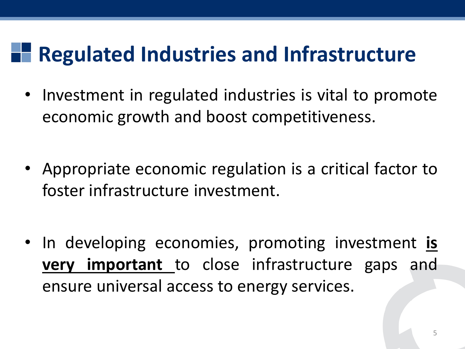## **Regulated Industries and Infrastructure**

- Investment in regulated industries is vital to promote economic growth and boost competitiveness.
- Appropriate economic regulation is a critical factor to foster infrastructure investment.
- In developing economies, promoting investment **is very important** to close infrastructure gaps and ensure universal access to energy services.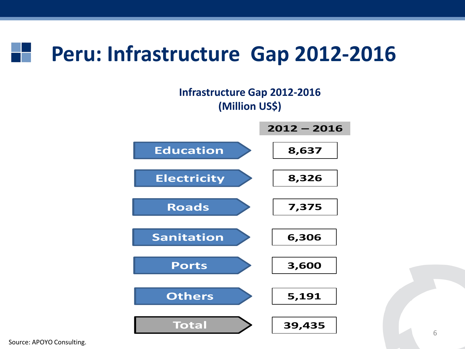### **Peru: Infrastructure Gap 2012-2016**

#### **Infrastructure Gap 2012-2016 (Million US\$)**



Source: APOYO Consulting.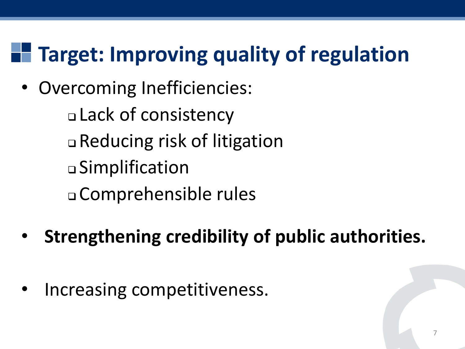#### **Target: Improving quality of regulation** T E

• Overcoming Inefficiencies:

 Lack of consistency Reducing risk of litigation Simplification Comprehensible rules

- **Strengthening credibility of public authorities.**
- Increasing competitiveness.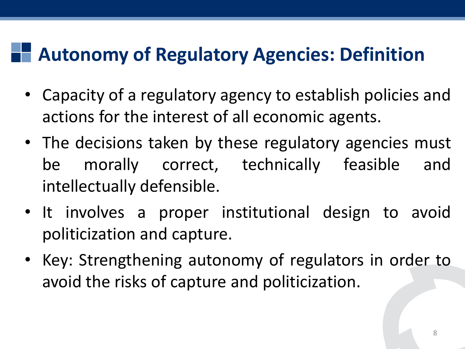### **Autonomy of Regulatory Agencies: Definition**

- Capacity of a regulatory agency to establish policies and actions for the interest of all economic agents.
- The decisions taken by these regulatory agencies must be morally correct, technically feasible and intellectually defensible.
- It involves a proper institutional design to avoid politicization and capture.
- Key: Strengthening autonomy of regulators in order to avoid the risks of capture and politicization.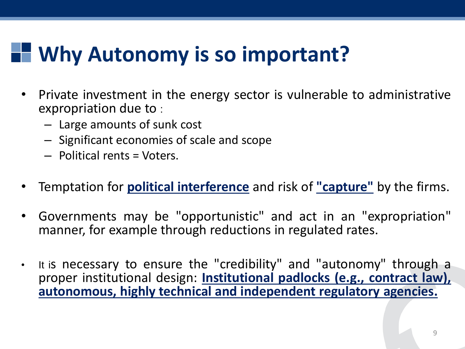# **Why Autonomy is so important?**

- Private investment in the energy sector is vulnerable to administrative expropriation due to :
	- Large amounts of sunk cost
	- Significant economies of scale and scope
	- Political rents = Voters.
- Temptation for **political interference** and risk of **"capture"** by the firms.
- Governments may be "opportunistic" and act in an "expropriation" manner, for example through reductions in regulated rates.
- It is necessary to ensure the "credibility" and "autonomy" through a proper institutional design: **Institutional padlocks (e.g., contract law), autonomous, highly technical and independent regulatory agencies.**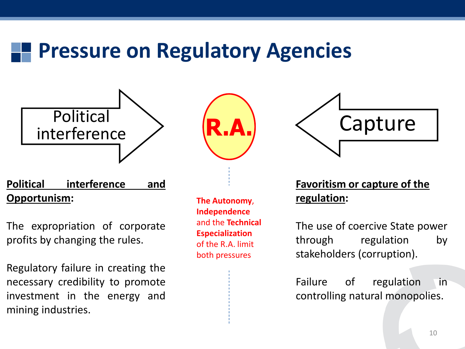### **Pressure on Regulatory Agencies**



#### **Political interference and Opportunism:**

The expropriation of corporate profits by changing the rules.

Regulatory failure in creating the necessary credibility to promote investment in the energy and mining industries.





**The Autonomy**, **Independence** and the **Technical Especialization**  of the R.A. limit both pressures



**Favoritism or capture of the regulation:**

The use of coercive State power through regulation by stakeholders (corruption).

Failure of regulation in controlling natural monopolies.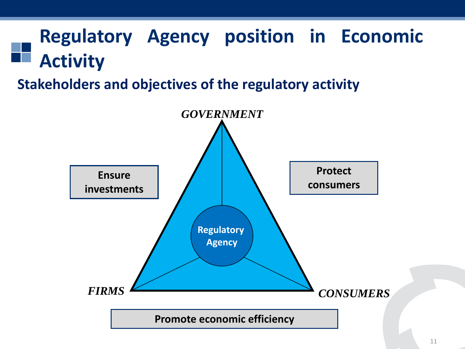### **Regulatory Agency position in Economic Activity**

#### **Stakeholders and objectives of the regulatory activity**

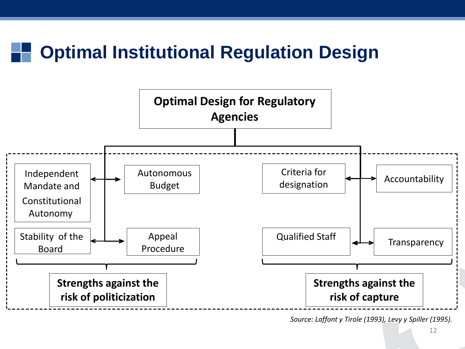#### **Optimal Institutional Regulation Design**



*Source: Laffont y Tirole (1993), Levy y Spiller (1995).*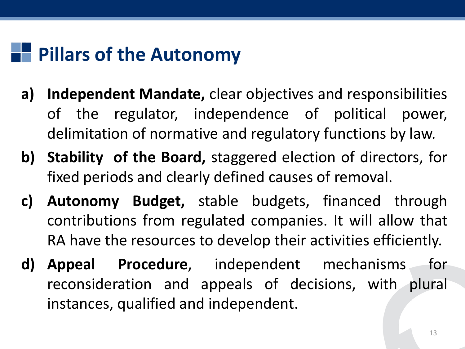### **Pillars of the Autonomy**

- **a) Independent Mandate,** clear objectives and responsibilities of the regulator, independence of political power, delimitation of normative and regulatory functions by law.
- **b) Stability of the Board,** staggered election of directors, for fixed periods and clearly defined causes of removal.
- **c) Autonomy Budget,** stable budgets, financed through contributions from regulated companies. It will allow that RA have the resources to develop their activities efficiently.
- **d) Appeal Procedure**, independent mechanisms for reconsideration and appeals of decisions, with plural instances, qualified and independent.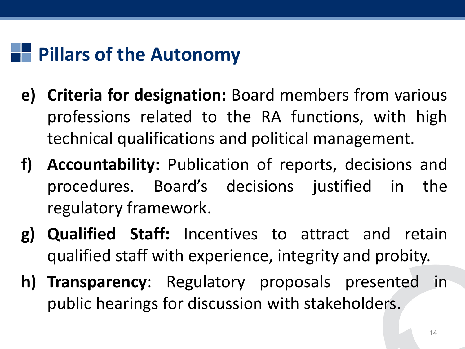### **Pillars of the Autonomy**

- **e) Criteria for designation:** Board members from various professions related to the RA functions, with high technical qualifications and political management.
- **f) Accountability:** Publication of reports, decisions and procedures. Board's decisions justified in the regulatory framework.
- **g) Qualified Staff:** Incentives to attract and retain qualified staff with experience, integrity and probity.
- **h) Transparency**: Regulatory proposals presented in public hearings for discussion with stakeholders.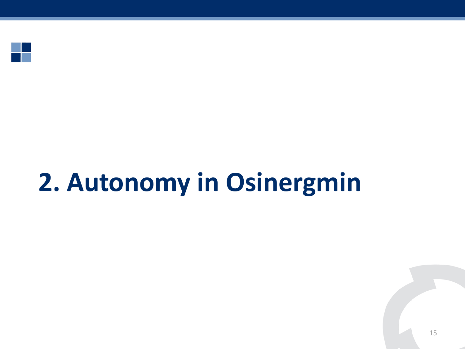

# **2. Autonomy in Osinergmin**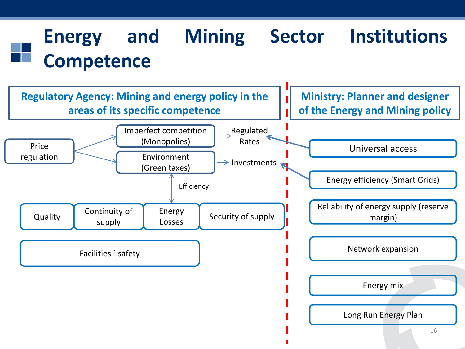### **Energy and Mining Sector Institutions Competence**

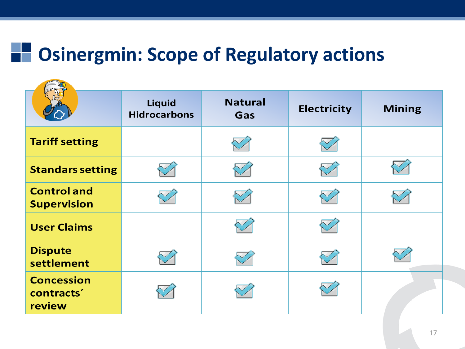### **Osinergmin: Scope of Regulatory actions**

|                                                       | <b>Liquid</b><br><b>Hidrocarbons</b> | <b>Natural</b><br>Gas | <b>Electricity</b> | <b>Mining</b> |
|-------------------------------------------------------|--------------------------------------|-----------------------|--------------------|---------------|
| <b>Tariff setting</b>                                 |                                      |                       |                    |               |
| <b>Standars setting</b>                               |                                      |                       |                    |               |
| <b>Control and</b><br><b>Supervision</b>              |                                      |                       |                    |               |
| <b>User Claims</b>                                    |                                      |                       |                    |               |
| <b>Dispute</b><br>settlement                          |                                      |                       |                    |               |
| <b>Concession</b><br>contracts <sup>2</sup><br>review |                                      |                       |                    |               |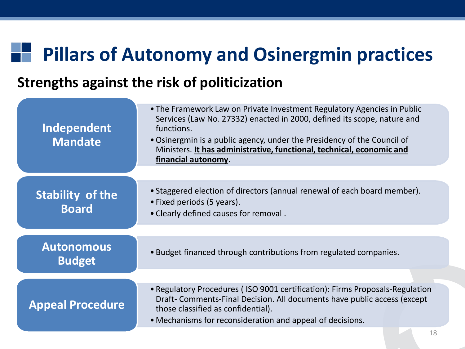#### **Pillars of Autonomy and Osinergmin practices** T.

#### **Strengths against the risk of politicization**

| Independent<br><b>Mandate</b>           | • The Framework Law on Private Investment Regulatory Agencies in Public<br>Services (Law No. 27332) enacted in 2000, defined its scope, nature and<br>functions.<br>• Osinergmin is a public agency, under the Presidency of the Council of<br>Ministers. It has administrative, functional, technical, economic and<br>financial autonomy. |
|-----------------------------------------|---------------------------------------------------------------------------------------------------------------------------------------------------------------------------------------------------------------------------------------------------------------------------------------------------------------------------------------------|
| <b>Stability of the</b><br><b>Board</b> | • Staggered election of directors (annual renewal of each board member).<br>• Fixed periods (5 years).<br>. Clearly defined causes for removal.                                                                                                                                                                                             |
| <b>Autonomous</b><br><b>Budget</b>      | • Budget financed through contributions from regulated companies.                                                                                                                                                                                                                                                                           |
| <b>Appeal Procedure</b>                 | • Regulatory Procedures (ISO 9001 certification): Firms Proposals-Regulation<br>Draft- Comments-Final Decision. All documents have public access (except<br>those classified as confidential).<br>• Mechanisms for reconsideration and appeal of decisions.                                                                                 |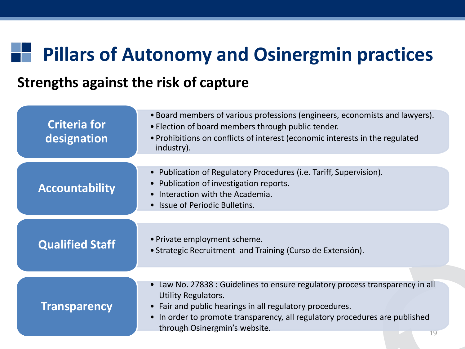### **Pillars of Autonomy and Osinergmin practices**

#### **Strengths against the risk of capture**

| <b>Criteria for</b><br>designation | • Board members of various professions (engineers, economists and lawyers).<br>. Election of board members through public tender.<br>• Prohibitions on conflicts of interest (economic interests in the regulated<br>industry).                                                                                     |  |  |
|------------------------------------|---------------------------------------------------------------------------------------------------------------------------------------------------------------------------------------------------------------------------------------------------------------------------------------------------------------------|--|--|
| <b>Accountability</b>              | • Publication of Regulatory Procedures (i.e. Tariff, Supervision).<br>Publication of investigation reports.<br>Interaction with the Academia.<br>$\bullet$<br>• Issue of Periodic Bulletins.                                                                                                                        |  |  |
| <b>Qualified Staff</b>             | • Private employment scheme.<br>• Strategic Recruitment and Training (Curso de Extensión).                                                                                                                                                                                                                          |  |  |
| <b>Transparency</b>                | • Law No. 27838 : Guidelines to ensure regulatory process transparency in all<br><b>Utility Regulators.</b><br>Fair and public hearings in all regulatory procedures.<br>$\bullet$<br>In order to promote transparency, all regulatory procedures are published<br>$\bullet$<br>through Osinergmin's website.<br>19 |  |  |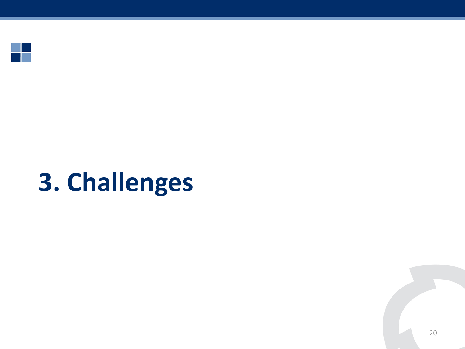

# **3. Challenges**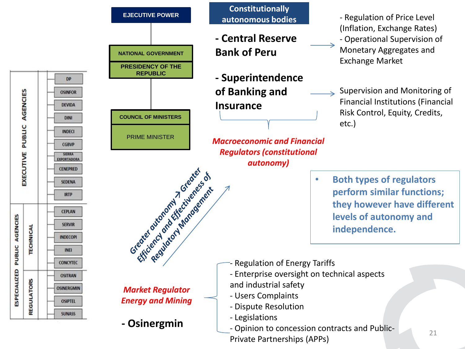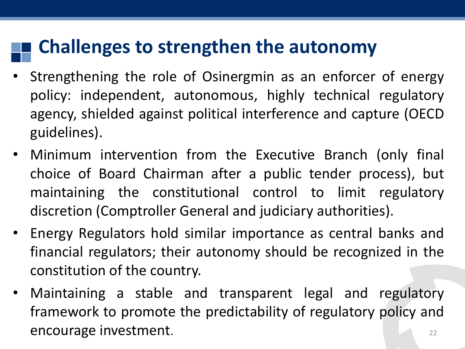#### **Challenges to strengthen the autonomy**

- Strengthening the role of Osinergmin as an enforcer of energy policy: independent, autonomous, highly technical regulatory agency, shielded against political interference and capture (OECD guidelines).
- Minimum intervention from the Executive Branch (only final choice of Board Chairman after a public tender process), but maintaining the constitutional control to limit regulatory discretion (Comptroller General and judiciary authorities).
- Energy Regulators hold similar importance as central banks and financial regulators; their autonomy should be recognized in the constitution of the country.
- 22 • Maintaining a stable and transparent legal and regulatory framework to promote the predictability of regulatory policy and encourage investment.